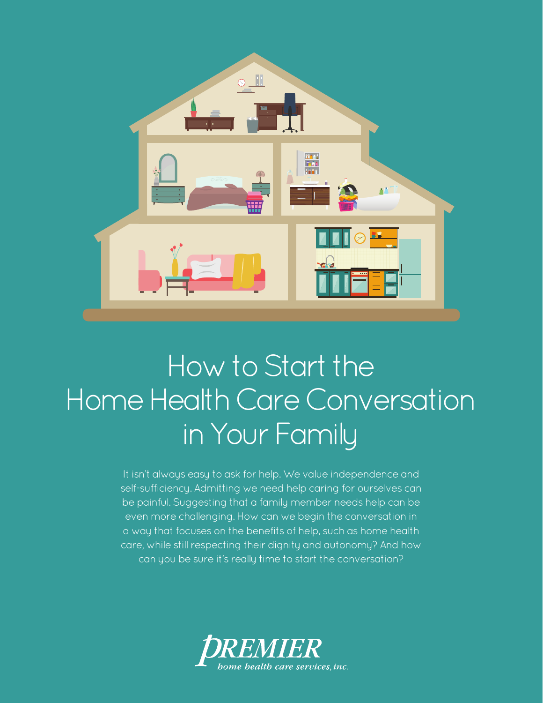

### How to Start the Home Health Care Conversation in Your Family

It isn't always easy to ask for help. We value independence and self-sufficiency. Admitting we need help caring for ourselves can be painful. Suggesting that a family member needs help can be even more challenging. How can we begin the conversation in a way that focuses on the benefits of help, such as home health care, while still respecting their dignity and autonomy? And how can you be sure it's really time to start the conversation?

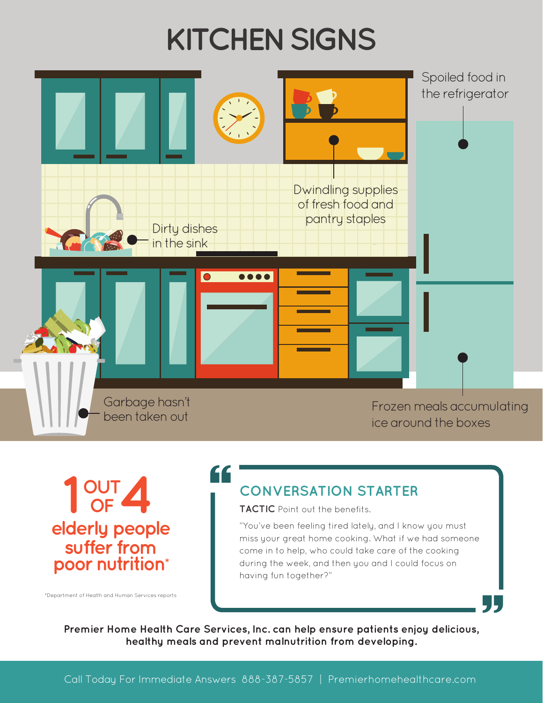# **KITCHEN SIGNS**



1 OUT 4 **elderly people suffer from poor nutrition\***

#### **CONVERSATION STARTER**

**TACTIC** Point out the benefits.

"You've been feeling tired lately, and I know you must miss your great home cooking. What if we had someone come in to help, who could take care of the cooking during the week, and then you and I could focus on having fun together?"

**Premier Home Health Care Services, Inc. can help ensure patients enjoy delicious, healthy meals and prevent malnutrition from developing.** "<sup>Department of Health and Human Services reports"<br>Premier Home Health Care Services, Inc. can help ensure patients enjoy delicious,<br>healthy meals and prevent malnutrition from developing.</sup>

"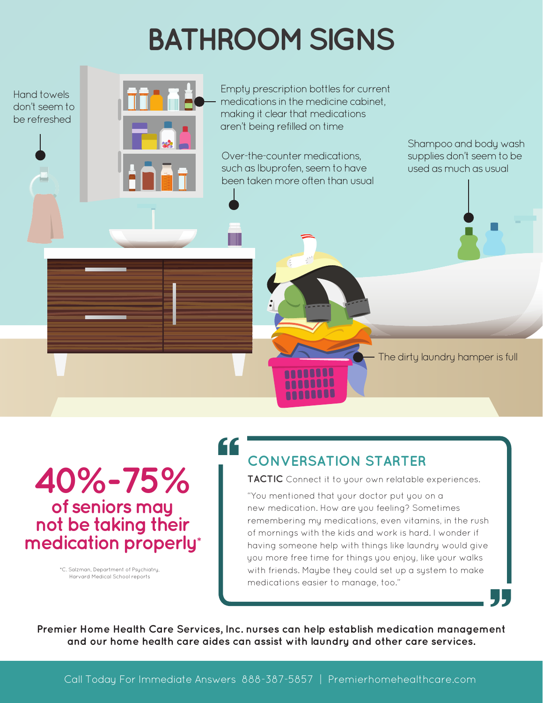# **BATHROOM SIGNS**

Hand towels don't seem to be refreshed



Empty prescription bottles for current medications in the medicine cabinet, making it clear that medications aren't being refilled on time

Over-the-counter medications, such as Ibuprofen, seem to have been taken more often than usual Shampoo and body wash supplies don't seem to be used as much as usual

The dirty laundry hamper is full

**40%-75% of seniors may not be taking their medication properly\***

> [\\*C. Salzman, Department of Psychiatry,](http://www.ncbi.nlm.nih.gov/pubmed/7836347)  Harvard Medical School reports

### "

### **CONVERSATION STARTER**

**inull** 

**TACTIC** Connect it to your own relatable experiences.

"You mentioned that your doctor put you on a new medication. How are you feeling? Sometimes remembering my medications, even vitamins, in the rush of mornings with the kids and work is hard. I wonder if having someone help with things like laundry would give you more free time for things you enjoy, like your walks with friends. Maybe they could set up a system to make medications easier to manage, too."

**Premier Home Health Care Services, Inc. nurses can help establish medication management and our home health care aides can assist with laundry and other care services. 55**<br>ent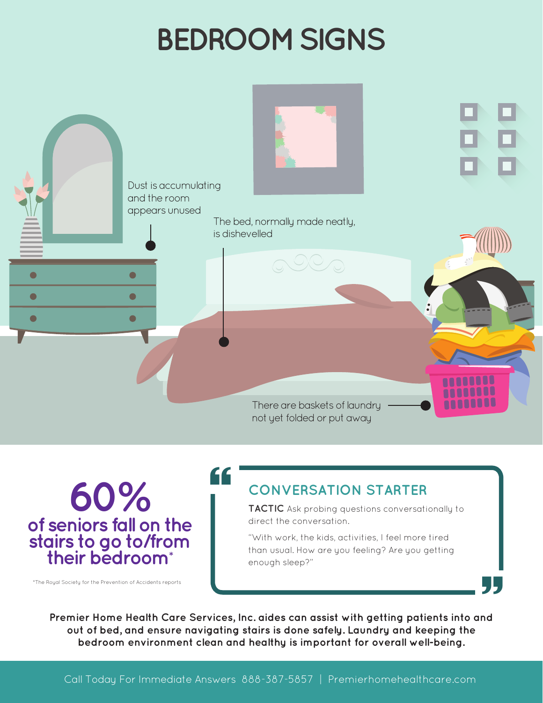# **BEDROOM SIGNS**



**60% of seniors fall on the stairs to go to/from their bedroom\***

### **CONVERSATION STARTER**

**TACTIC** Ask probing questions conversationally to direct the conversation.

"With work, the kids, activities, I feel more tired than usual. How are you feeling? Are you getting enough sleep?"

**Premier Home Health Care Services, Inc. aides can assist with getting patients into and out of bed, and ensure navigating stairs is done safely. Laundry and keeping the bedroom environment clean and healthy is important for overall well-being.** The Royal Society for the Prevention of Accidents reports<br>Premier Home Health Care Services, Inc. aides can assist with getting patients into and<br>out of bed. and ensure naviaating stairs is done safely. Laundry and keeping

"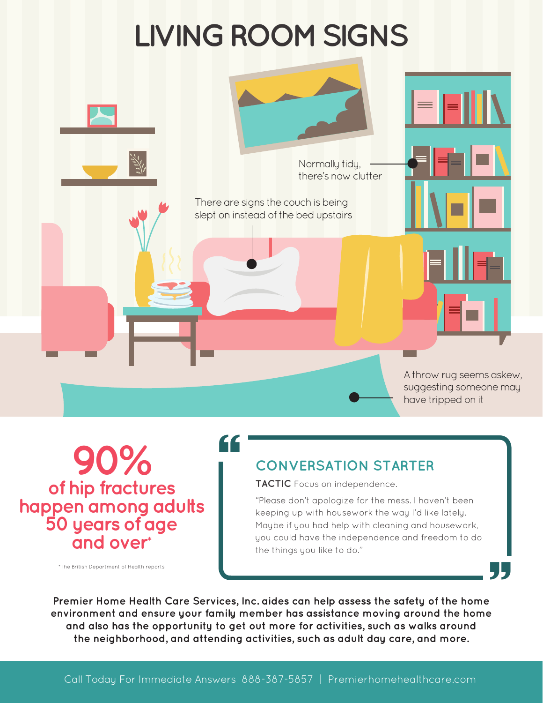### **LIVING ROOM SIGNS**



**90% of hip fractures happen among adults 50 years of age and over\***

### "

#### **CONVERSATION STARTER**

**TACTIC** Focus on independence.

"Please don't apologize for the mess. I haven't been keeping up with housework the way I'd like lately. Maybe if you had help with cleaning and housework, you could have the independence and freedom to do the things you like to do."

**Premier Home Health Care Services, Inc. aides can help assess the safety of the home environment and ensure your family member has assistance moving around the home and also has the opportunity to get out more for activities, such as walks around the neighborhood, and attending activities, such as adult day care, and more.** The British Department of Health reports<br>"The British Department of Health Care Services, Inc. aides can help assess the safety of the home<br>"Notionment and ensure your family member has assistance moving around the home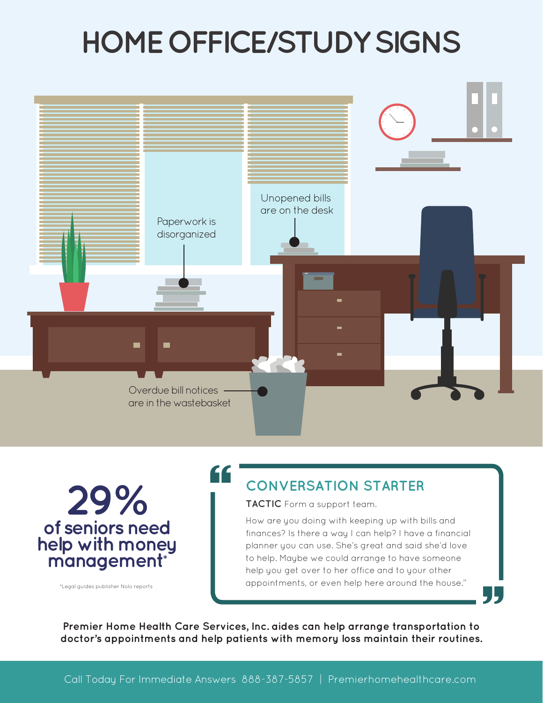### **HOME OFFICE/STUDY SIGNS**



**of seniors need help with money management\* 29%**

#### **CONVERSATION STARTER**

**TACTIC** Form a support team.

How are you doing with keeping up with bills and finances? Is there a way I can help? I have a financial planner you can use. She's great and said she'd love to help. Maybe we could arrange to have someone help you get over to her office and to your other appointments, or even help here around the house."

**Premier Home Health Care Services, Inc. aides can help arrange transportation to** Thegal guides publisher Nolo reports<br> **doctor's appointments and help patients with memory loss maintain their routines.**<br>
The minimum of the memory loss maintain their routines.

"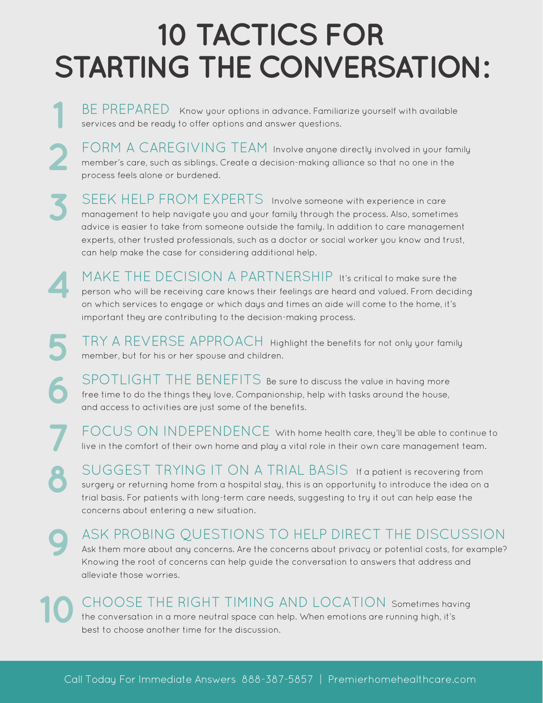### **10 TACTICS FOR STARTING THE CONVERSATION:**

BE PREPAREDKnow your options in advance. Familiarize yourself with available services and be ready to offer options and answer questions.

**1**

**4**

**5**

**6**

**7**

**8**

**2** FORM A CAREGIVING TEAM Involve anyone directly involved in your family member's care, such as siblings. Create a decision-making alliance so that no one in the process feels alone or burdened.

**3** SEEK HELP FROM EXPERTS Involve someone with experience in care management to help navigate you and your family through the process. Also, sometimes advice is easier to take from someone outside the family. In addition to care management experts, other trusted professionals, such as a doctor or social worker you know and trust, can help make the case for considering additional help.

MAKE THE DECISION A PARTNERSHIP It's critical to make sure the person who will be receiving care knows their feelings are heard and valued. From deciding on which services to engage or which days and times an aide will come to the home, it's important they are contributing to the decision-making process.

TRY A REVERSE APPROACH Highlight the benefits for not only your family member, but for his or her spouse and children.

SPOTLIGHT THE BENEFITS Be sure to discuss the value in having more free time to do the things they love. Companionship, help with tasks around the house, and access to activities are just some of the benefits.

FOCUS ON INDEPENDENCE With home health care, they'll be able to continue to live in the comfort of their own home and play a vital role in their own care management team.

SUGGEST TRYING IT ON A TRIAL BASIS If a patient is recovering from surgery or returning home from a hospital stay, this is an opportunity to introduce the idea on a trial basis. For patients with long-term care needs, suggesting to try it out can help ease the concerns about entering a new situation.

**9** ASK PROBING QUESTIONS TO HELP DIRECT THE DISCUSSION Ask them more about any concerns. Are the concerns about privacy or potential costs, for example? Knowing the root of concerns can help guide the conversation to answers that address and alleviate those worries.

**10** CHOOSE THE RIGHT TIMING AND LOCATION Sometimes having the conversation in a more neutral space can help. When emotions are running high, it's best to choose another time for the discussion.